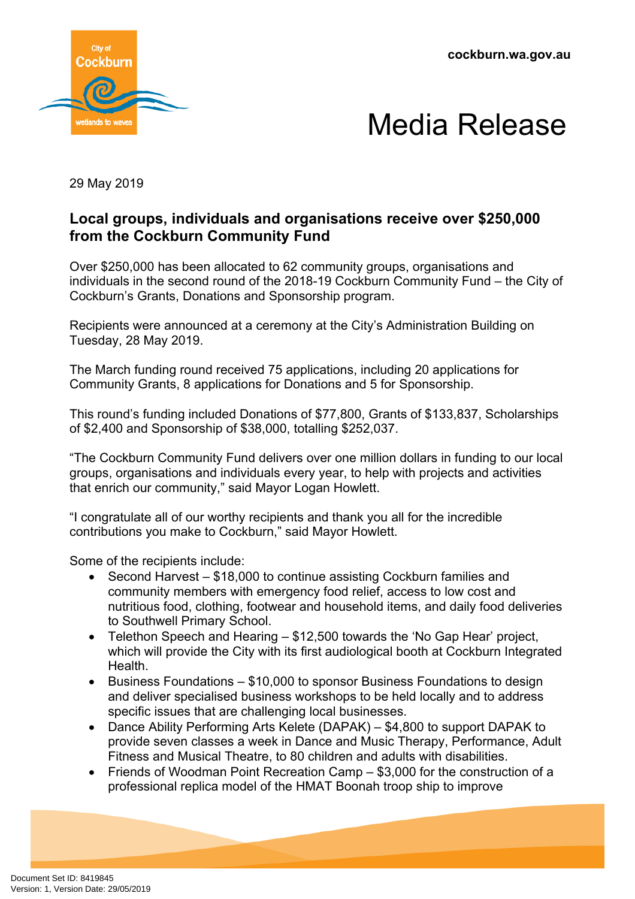**cockburn.wa.gov.au**





29 May 2019

## **Local groups, individuals and organisations receive over \$250,000 from the Cockburn Community Fund**

Over \$250,000 has been allocated to 62 community groups, organisations and individuals in the second round of the 2018-19 Cockburn Community Fund – the City of Cockburn's Grants, Donations and Sponsorship program.

Recipients were announced at a ceremony at the City's Administration Building on Tuesday, 28 May 2019.

The March funding round received 75 applications, including 20 applications for Community Grants, 8 applications for Donations and 5 for Sponsorship.

This round's funding included Donations of \$77,800, Grants of \$133,837, Scholarships of \$2,400 and Sponsorship of \$38,000, totalling \$252,037.

"The Cockburn Community Fund delivers over one million dollars in funding to our local groups, organisations and individuals every year, to help with projects and activities that enrich our community," said Mayor Logan Howlett.

"I congratulate all of our worthy recipients and thank you all for the incredible contributions you make to Cockburn," said Mayor Howlett.

Some of the recipients include:

- Second Harvest \$18,000 to continue assisting Cockburn families and community members with emergency food relief, access to low cost and nutritious food, clothing, footwear and household items, and daily food deliveries to Southwell Primary School.
- Telethon Speech and Hearing \$12,500 towards the 'No Gap Hear' project, which will provide the City with its first audiological booth at Cockburn Integrated Health.
- Business Foundations \$10,000 to sponsor Business Foundations to design and deliver specialised business workshops to be held locally and to address specific issues that are challenging local businesses.
- Dance Ability Performing Arts Kelete (DAPAK) \$4,800 to support DAPAK to provide seven classes a week in Dance and Music Therapy, Performance, Adult Fitness and Musical Theatre, to 80 children and adults with disabilities.
- Friends of Woodman Point Recreation Camp \$3,000 for the construction of a professional replica model of the HMAT Boonah troop ship to improve